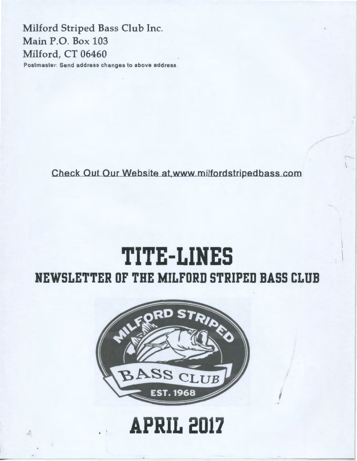Milford Striped Bass Club Inc. **Main P.O. Box 103** Milford, CT 06460 Postmaster: Send address changes to above address .

Check Out Our Website at,www milfordstripedbass com

# **TITE-LIHES**

## **NEWSLETTER OF THE MILFORD STRIPED BASS CLUB**



# **APRIL 2017**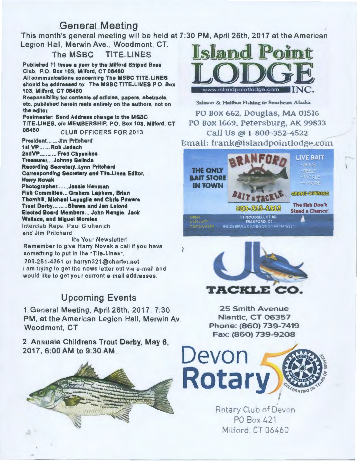### General Meeting

This month's general meeting will be held at 7:30 PM , April 26th, 2017 at the American Legion Hall, Merwin Ave., Woodmont, CT.

### The MSBC TlTE-LlNES

Published 11 times a year by the Milford Striped Baas Club. P.O. Box 103, Milford, CT 06460 All communications concerning The MSBC TiTE-LINES should be addressed to: The MSBC TITE-LINES P.O. Box 103, Milford, CT 06460

Responsibility for contents of articles, papers, abstracts, ate. published herein reata entirely on the authors, not on the editor.

Postmaster: Send Address change to the MSBC TiTE-LINES, c/o MEMBERSHIP, P.O. Box 103, Milford, CT 06460 CLUB OFFICERS FOR 2013

President....... Jim Pritchard 1et VP ... ... Rob Jadach 2ndVP......... Fred Chyssikos Treasurer....Johnny Belinda Recording Secretary..Lynn Pritchard Corresponding Secretary and Tite-Linea Editor, Harry Novak Photographer.......Jessie Henman Fleh Committee ... Graham Lapham, Brian Thornhill, Michael Lapuglla and Chrle Poware Trout Darby ...... .. Shawn and Jan Lalond Elected Board Members... John Nangle, Jack Wallace, and Miguel Morales

Interclub Reps. Paul Gluhanich and Jim Pritchard

It's Your Newsletter! Remember to give Harry Novak a call if you have something to put in the "Tite-Lines".

203-261 -4361 or harryn321 @charter. net I am trying to get the news letter out via e-mail and would like to get your current e-mail addresses .

### Upcoming Events

1.General Meeting, April 26th, 2017 , 7:30 PM, at the American Legion Hall, Merwin Av. Woodmont, CT

2. Annuale Childrens Trout Derby, May 6, 2017, 6:00AM to 9:30AM .





Salmon & Halibut Fishing in Southeast Alaska PO Box 662, Douglas, MA 01516 PO Box 1669, Petersburg, AK 99833 call Us @ 1-800-352-4522 Email: frank@islandpointlodge.com





25 Smith Avenue Niantic, CT 06357 Phone: (860) 739-7419 Fax: (860) 739-9208



ary Club of Devon PO Box 421 Milford CT 06460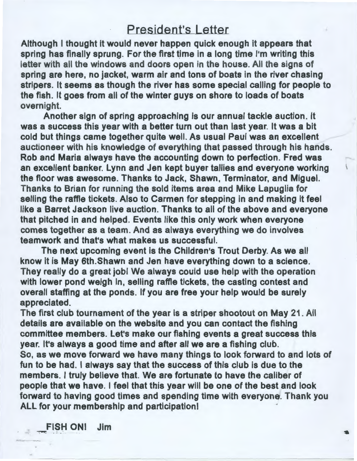### President's Letter

Although I thought it would never happen quick enough it appears that spring has finally sprung. For the first time in a long time I'm writing this letter with all the windows and doors open in the house. All the signs of spring are here, no jacket, warm air and tons of boats in the river chasing stripers. It seems as though the river has some special calling for people to the fish. It goes from all of the winter guys on shore to loads of boats overnight.

Another sign of spring approaching is our annual tackle auction. It was a success this year with a better turn out than last year. It was a bit cold but things came together quite well. As usual Paul was an excellent auctioneer with his knowledge of everything that passed through his hands. Rob and Maria always have the accounting down to perfection. Fred was an excellent banker. Lynn and Jen kept buyer tallies and everyone working the floor was awesome. Thanks to Jack, Shawn, Terminator, and Miguel. Thanks to Brian for running the sold items area and Mike Lapuglia for selling the raffle tickets. Also to Carmen for stepping in and making it feel like a Barret Jackson live auction. Thanks to all of the above and everyone that pitched in and helped. Events like this only work when everyone comes together as a team. And as always everything we do involves teamwork and that's what makes us successful.

The next upcoming event is the Children's Trout Derby. As we all know it is May 6th.Shawn and Jen have everything down to a science. They really do a great job! We always could use help with the operation with lower pond weigh in, selling raffle tickets, the casting contest and overall staffing at the ponds. If you are free your help would be surely appreciated.

The first club tournament of the year is a striper shootout on May 21. All details are available on the website and you can contact the fishing committee members. Let's make our fishing events a great success this year. It's always a good time and after all we are a fishing club.

So, as we move forward we have many things to look forward to and lots of fun to be had. I always say that the success of this club is due to the members. I truly believe that. We are fortunate to have the caliber of people that we have. I feel that this year will be one of the best and look forward to having good times and spending time with everyone. Thank you ALL for your membership and participation!

FISH ON! Jim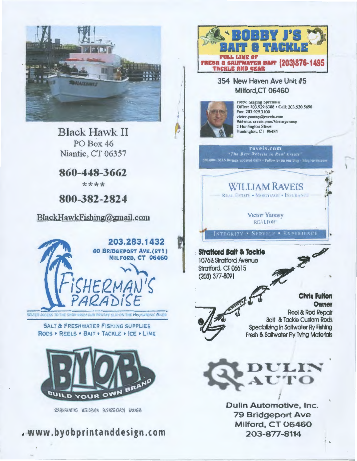

**Black Hawk II PO Box 46** Niantic, CT 06357

860-448-3662

\*\*\*\*

800-382-2824

BlackHawkFishing@gmail.com



WATER ACCESS TO THE SHOP FROM OUR PRIVATE SLIP ON THE HOUSATONIC RIVER

**SALT & FRESHWATER FISHING SUPPLIES** RODS . REELS . BAIT . TACKLE . ICE . LINE



KRENRING WEBDEN BUSINESS CARS BANERS

. www.byobprintanddesign.com



#### 354 New Haven Ave Unit #5 Milford, CT 06460



riome Staging Specialist Office: 203.929.6388 · Cell: 203.520.5690 Fax: 203.929.3100 victor.yanosy@raveis.com Website: raveis.com/Victoryanosy 2 Huntington Street Huntington, CT 06484

# ravels.com<br>"The Best Website in Real Estate"<br>"The Best Website in Real Estate

WILLIAM RAVEIS **REAL ESTATE . MORTGAGE . INSURANCE** 

**Victor Yanosy** 

**REALTOR** 

INTEGRITY . SERVICE . EXPERIENCE

**Stratford Bait & Tackle** 1076% Stratford Avenue Stratford, CT 06615 (203) 377-8091



**Chris Fulton Owner** 

**Reel & Rod Repair Balt & Tackle Custom Rods** Specializing in Saltwater Fly Fishing Fresh & Saltwater Fly Tying Materials



Dulin Automotive, Inc. **79 Bridgeport Ave** Milford, CT 06460 203-877-8114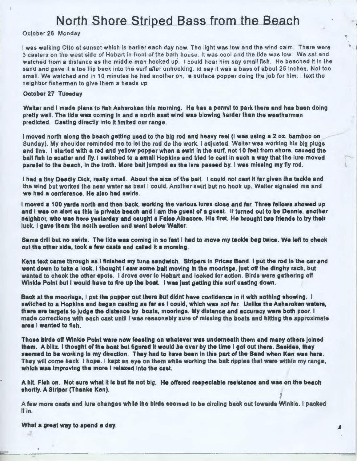### North Shore Striped Bass from the Beach

#### October 26 Monday

I was walking Otto at sunset which is earlier each day now. The light was low and the wind calm. There were 3 casters on the west side of Hobart in front of the bath house. It was cool and the tide was low. We sat and watched from a distance as the middle man hooked up. I could hear him say small fish. He beached it in the sand and gave it a toe flip back into the surf after unhooking. ld say it was a bass of about 25 inches . Not too small. We watched and in 10 minutes he had another on, a surface popper doing the job for him. I text the neighbor fishermen to give them a heads up

#### October 27 Tuesday

Walter and I made plans to fish Asharoken this morning. He has a permit to park there and has been doing pretty well. The tide was coming in and a north east wind was blowing harder than the weatherman predicted. Casting directly Into It limited our range.

I moved north along the beach getting used to the big rod and heavy reel (I was using a 2 oz. bamboo on Sunday). My shoulder reminded me to let the rod do the work. I adjusted. Walter was working his big plug\_s and tins. I started with a red and yellow popper when a swirl In the surf, not 10 feet from shore, caused the bait fish to scatter and fly. I switched to a small Hopkins and tried to cast In such a way that the lure moved parallel to the beach, In the troth. More bait jumped as the lure passed by. I was missing my fly rod.

I had a tiny Deadly Dick, really small. About the size of the bait. I could not cast It far given the tackle and the wind but worked the near water as best I could. Another swirl but no hook up. Walter signaled me and we had a conference. He also had swirls.

I moved a 100 yards north and then back, working the various lures close and far. Three fellows showed up and I was on alert as this is private beach and I am the guest of a guest. It turned out to be Dennis, another neighbor, who was here yesterday and caught a False Albacore. His first. He brought two friends to try their luck. I gave them the north section and went below Walter.

Same drill but no swirls. The tide was coming in so fast I had to move my tackle bag twice. We left to check out the other side, took a few casts and called it a morning.

Kens text came through as I finished my tuna sandwich. Stripers in Prices Bend. I put the rod in the car and went down to take a look. I thought I saw some bait moving in the moorings, just off the dinghy rack, but wanted to check the other spots. I drove over to Hobart and looked for action. Birds were gathering off Winkle Point but I would have to fire up the boat. I was just getting this surf casting down.

Back at the moorings, I put the popper out there but didnt have confidence in it with nothing showing. I switched to a Hopkins and began casting as far as I could, which was not far. Unlike the Asharoken waters, there are targets to judge the distance by boats, moorings. My distance and accuracy were both poor. I made corrections with each cast until I was reasonably sure of missing the boats and hitting the approximate area I wanted to fish.

Those birds off Winkle Point were now feasting on whatever was underneath them and many others joined them. A blitz. I thought of the boat but figured it would be over by the time I got out there. Besides, they seemed to be working in my direction. They had to have been in this part of the Bend when Ken was here. They will come back I hope. I kept an eye on them while working the bait ripples that were within my range, which was improving the more I relaxed into the cast.

A hit. Fish on. Not sure what it is but its not big. He offered respectable resistance and was on the beach shortly. A Striper (Thanks Ken).

A few more casts and lure changes while the birds seemed to be circling back out towards Winkle. I packed It ln.

~

 $^{\bullet}$ 

.,

What a great way to spend a day.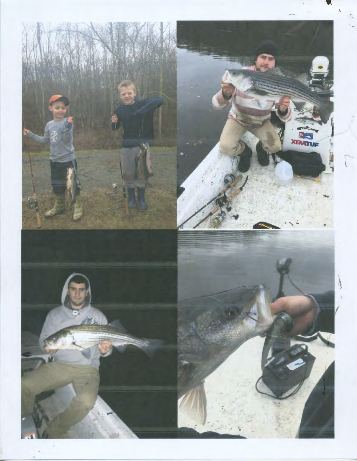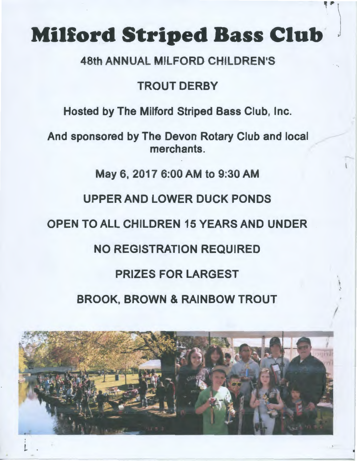# **Milford Striped Bass Club**

~~

 $\mathbf{\hat{y}}$ '

I

•

### 48th ANNUAL MILFORD CHILDREN'S

## TROUT DERBY

Hosted by The Milford Striped Bass Club, Inc.

And sponsored by The Devon Rotary Club and local merchants.

May 6, 2017 6:00AM to 9:30AM

UPPER AND LOWER DUCK PONDS

### OPEN TO ALL CHILDREN 15 YEARS AND UNDER

### NO REGISTRATION REQUIRED

### PRIZES FOR LARGEST

### BROOK, BROWN & RAINBOW TROUT